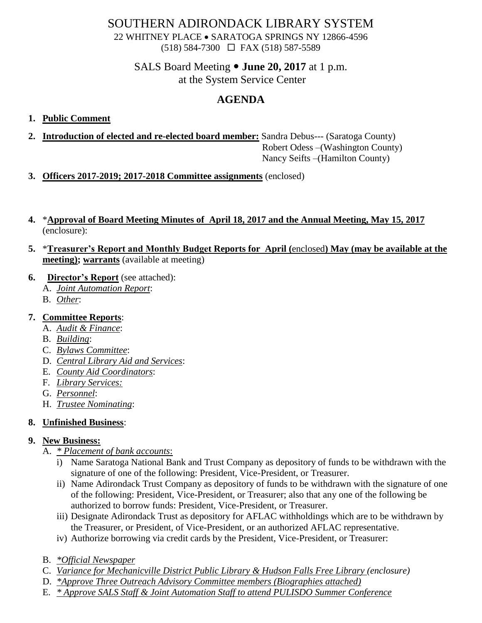## SOUTHERN ADIRONDACK LIBRARY SYSTEM

22 WHITNEY PLACE • SARATOGA SPRINGS NY 12866-4596 (518) 584-7300 FAX (518) 587-5589

#### SALS Board Meeting **June 20, 2017** at 1 p.m. at the System Service Center

# **AGENDA**

#### **1. Public Comment**

**2. Introduction of elected and re-elected board member:** Sandra Debus--- (Saratoga County)

 Robert Odess –(Washington County) Nancy Seifts –(Hamilton County)

- **3. Officers 2017-2019; 2017-2018 Committee assignments** (enclosed)
- **4.** \***Approval of Board Meeting Minutes of April 18, 2017 and the Annual Meeting, May 15, 2017** (enclosure):
- **5.** \***Treasurer's Report and Monthly Budget Reports for April (**enclosed**) May (may be available at the meeting); warrants** (available at meeting)
- **6. Director's Report** (see attached):
	- A. *Joint Automation Report*:
	- B. *Other*:

### **7. Committee Reports**:

- A. *Audit & Finance*:
- B. *Building*:
- C. *Bylaws Committee*:
- D. *Central Library Aid and Services*:
- E. *County Aid Coordinators*:
- F. *Library Services:*
- G. *Personnel*:
- H. *Trustee Nominating*:

### **8. Unfinished Business**:

### **9. New Business:**

- A. *\* Placement of bank accounts*:
	- i) Name Saratoga National Bank and Trust Company as depository of funds to be withdrawn with the signature of one of the following: President, Vice-President, or Treasurer.
	- ii) Name Adirondack Trust Company as depository of funds to be withdrawn with the signature of one of the following: President, Vice-President, or Treasurer; also that any one of the following be authorized to borrow funds: President, Vice-President, or Treasurer.
	- iii) Designate Adirondack Trust as depository for AFLAC withholdings which are to be withdrawn by the Treasurer, or President, of Vice-President, or an authorized AFLAC representative.
	- iv) Authorize borrowing via credit cards by the President, Vice-President, or Treasurer:
- B. *\*Official Newspaper*
- C. *Variance for Mechanicville District Public Library & Hudson Falls Free Library (enclosure)*
- D. *\*Approve Three Outreach Advisory Committee members (Biographies attached)*
- E. *\* Approve SALS Staff & Joint Automation Staff to attend PULISDO Summer Conference*